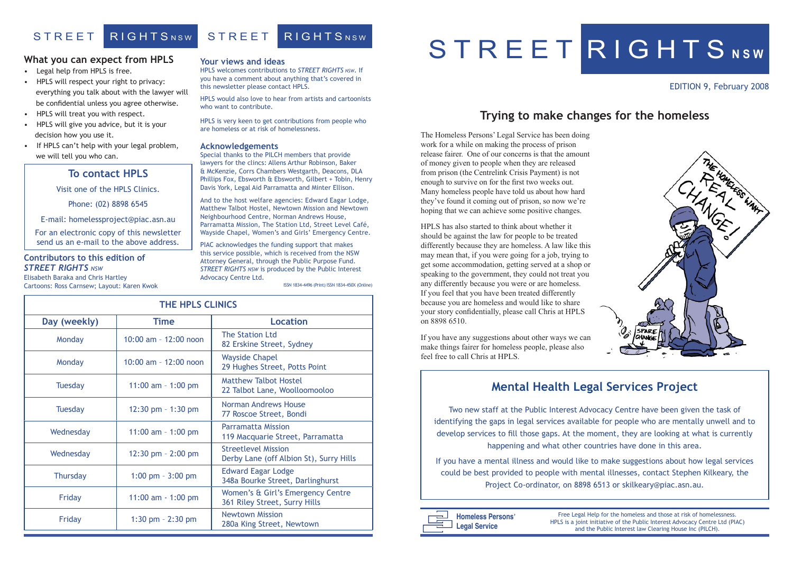#### EDITION 9, February 2008



#### **Your views and ideas**

HPLS welcomes contributions to *STREET RIGHTS NSW*. If you have a comment about anything that's covered in this newsletter please contact HPLS.

HPLS would also love to hear from artists and cartoonists who want to contribute.

HPLS is very keen to get contributions from people who are homeless or at risk of homelessness.

#### **Acknowledgements**

Special thanks to the PILCH members that provide lawyers for the clincs: Allens Arthur Robinson, Baker & McKenzie, Corrs Chambers Westgarth, Deacons, DLA Phillips Fox, Ebsworth & Ebsworth, Gilbert + Tobin, Henry Davis York, Legal Aid Parramatta and Minter Ellison.

And to the host welfare agencies: Edward Eagar Lodge, Matthew Talbot Hostel, Newtown Mission and Newtown Neighbourhood Centre, Norman Andrews House, Parramatta Mission, The Station Ltd, Street Level Café, Wayside Chapel, Women's and Girls' Emergency Centre.

PIAC acknowledges the funding support that makes this service possible, which is received from the NSW Attorney General, through the Public Purpose Fund. *STREET RIGHTS NSW* is produced by the Public Interest Advocacy Centre Ltd.

| <b>THE HPLS CLINICS</b> |                        |                                                                       |
|-------------------------|------------------------|-----------------------------------------------------------------------|
| Day (weekly)            | <b>Time</b>            | <b>Location</b>                                                       |
| Monday                  | 10:00 am - 12:00 noon  | <b>The Station Ltd</b><br>82 Erskine Street, Sydney                   |
| Monday                  | 10:00 am - 12:00 noon  | <b>Wayside Chapel</b><br>29 Hughes Street, Potts Point                |
| <b>Tuesday</b>          | 11:00 am $-$ 1:00 pm   | <b>Matthew Talbot Hostel</b><br>22 Talbot Lane, Woolloomooloo         |
| <b>Tuesday</b>          | 12:30 pm - 1:30 pm     | Norman Andrews House<br>77 Roscoe Street, Bondi                       |
| Wednesday               | 11:00 am $-$ 1:00 pm   | <b>Parramatta Mission</b><br>119 Macquarie Street, Parramatta         |
| Wednesday               | $12:30$ pm $- 2:00$ pm | <b>Streetlevel Mission</b><br>Derby Lane (off Albion St), Surry Hills |
| <b>Thursday</b>         | 1:00 pm $-3:00$ pm     | <b>Edward Eagar Lodge</b><br>348a Bourke Street, Darlinghurst         |
| Friday                  | $11:00$ am $-1:00$ pm  | Women's & Girl's Emergency Centre<br>361 Riley Street, Surry Hills    |
| Friday                  | 1:30 pm $- 2:30$ pm    | <b>Newtown Mission</b><br>280a King Street, Newtown                   |

# S T R E E T R I G H T S NSW

# STREET RIGHTSNSW STREET RIGHTSNSW

#### **What you can expect from HPLS**

- Legal help from HPLS is free.
- HPLS will respect your right to privacy: everything you talk about with the lawyer will be confidential unless you agree otherwise.
- HPLS will treat you with respect.
- HPLS will give you advice, but it is your decision how you use it.
- If HPLS can't help with your legal problem, we will tell you who can.

Free Legal Help for the homeless and those at risk of homelessness. HPLS is a joint initiative of the Public Interest Advocacy Centre Ltd (PIAC) and the Public Interest law Clearing House Inc (PILCH).

|  | <b>Homeless Persons'</b> |  |
|--|--------------------------|--|
|  | Legal Service            |  |

ISSN 1834-4496 (Print) ISSN 1834-450X (Online)

#### **To contact HPLS**

Visit one of the HPLS Clinics.

Phone: (02) 8898 6545

E-mail: homelessproject@piac.asn.au

For an electronic copy of this newsletter send us an e-mail to the above address.

#### **Contributors to this edition of**  *STREET RIGHTS NSW*

Elisabeth Baraka and Chris Hartley Cartoons: Ross Carnsew; Layout: Karen Kwok The Homeless Persons' Legal Service has been doing work for a while on making the process of prison release fairer. One of our concerns is that the amount of money given to people when they are released from prison (the Centrelink Crisis Payment) is not enough to survive on for the first two weeks out. Many homeless people have told us about how hard they've found it coming out of prison, so now we're hoping that we can achieve some positive changes.

HPLS has also started to think about whether it should be against the law for people to be treated differently because they are homeless. A law like this may mean that, if you were going for a job, trying to get some accommodation, getting served at a shop or speaking to the government, they could not treat you any differently because you were or are homeless. If you feel that you have been treated differently because you are homeless and would like to share your story confidentially, please call Chris at HPLS on 8898 6510.

If you have any suggestions about other ways we can make things fairer for homeless people, please also feel free to call Chris at HPLS.

## **Trying to make changes for the homeless**

# **Mental Health Legal Services Project**

Two new staff at the Public Interest Advocacy Centre have been given the task of identifying the gaps in legal services available for people who are mentally unwell and to develop services to fill those gaps. At the moment, they are looking at what is currently happening and what other countries have done in this area.

If you have a mental illness and would like to make suggestions about how legal services could be best provided to people with mental illnesses, contact Stephen Kilkeary, the Project Co-ordinator, on 8898 6513 or skilkeary@piac.asn.au.